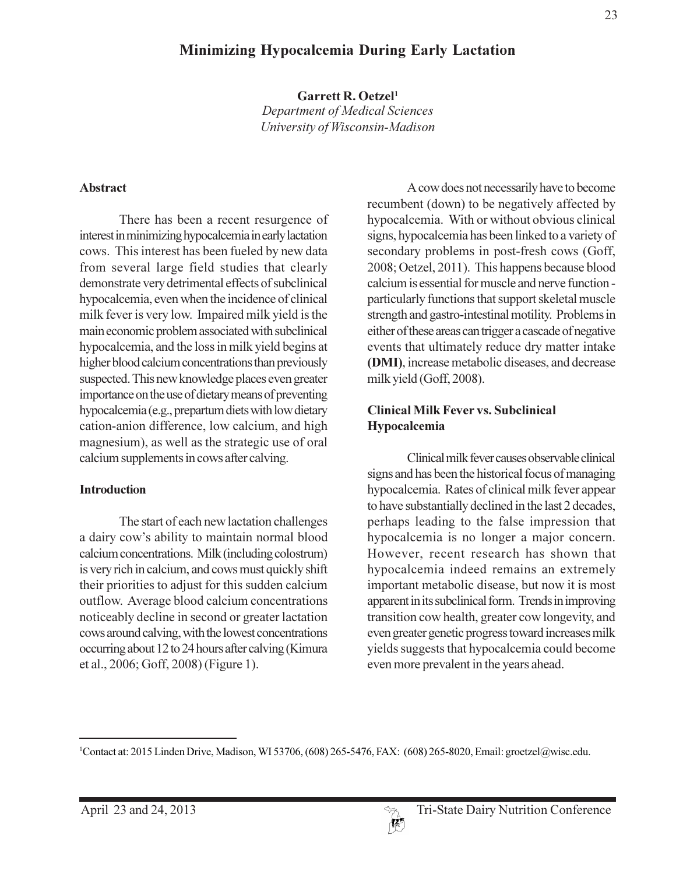# **Minimizing Hypocalcemia During Early Lactation**

Garrett R. Oetzel<sup>1</sup> **Department of Medical Sciences** 

University of Wisconsin-Madison

#### **Abstract**

There has been a recent resurgence of interest in minimizing hypocalcemia in early lactation cows. This interest has been fueled by new data from several large field studies that clearly demonstrate very detrimental effects of subclinical hypocalcemia, even when the incidence of clinical milk fever is very low. Impaired milk yield is the main economic problem associated with subclinical hypocalcemia, and the loss in milk yield begins at higher blood calcium concentrations than previously suspected. This new knowledge places even greater importance on the use of dietary means of preventing hypocalcemia (e.g., prepartum diets with low dietary cation-anion difference, low calcium, and high magnesium), as well as the strategic use of oral calcium supplements in cows after calving.

#### **Introduction**

The start of each new lactation challenges a dairy cow's ability to maintain normal blood calcium concentrations. Milk (including colostrum) is very rich in calcium, and cows must quickly shift their priorities to adjust for this sudden calcium outflow. Average blood calcium concentrations noticeably decline in second or greater lactation cows around calving, with the lowest concentrations occurring about 12 to 24 hours after calving (Kimura et al., 2006; Goff, 2008) (Figure 1).

A cow does not necessarily have to become recumbent (down) to be negatively affected by hypocalcemia. With or without obvious clinical signs, hypocalcemia has been linked to a variety of secondary problems in post-fresh cows (Goff, 2008; Oetzel, 2011). This happens because blood calcium is essential for muscle and nerve function particularly functions that support skeletal muscle strength and gastro-intestinal motility. Problems in either of these areas can trigger a cascade of negative events that ultimately reduce dry matter intake (DMI), increase metabolic diseases, and decrease milk yield (Goff, 2008).

#### **Clinical Milk Fever vs. Subclinical** Hypocalcemia

Clinical milk fever causes observable clinical signs and has been the historical focus of managing hypocalcemia. Rates of clinical milk fever appear to have substantially declined in the last 2 decades, perhaps leading to the false impression that hypocalcemia is no longer a major concern. However, recent research has shown that hypocalcemia indeed remains an extremely important metabolic disease, but now it is most apparent in its subclinical form. Trends in improving transition cow health, greater cow longevity, and even greater genetic progress toward increases milk yields suggests that hypocalcemia could become even more prevalent in the years ahead.

<sup>&</sup>lt;sup>1</sup>Contact at: 2015 Linden Drive, Madison, WI 53706, (608) 265-5476, FAX: (608) 265-8020, Email: groetzel@wisc.edu.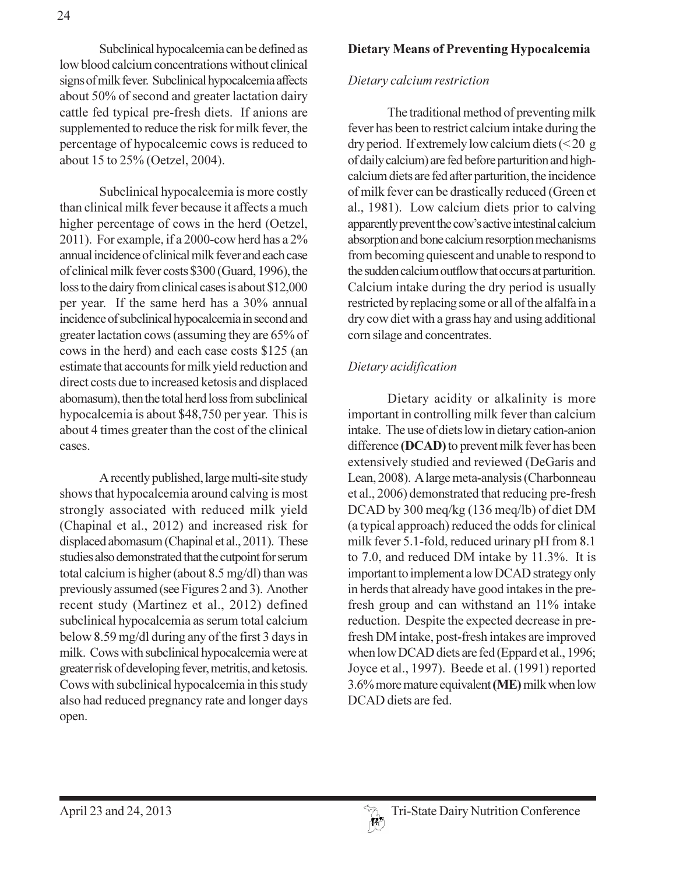Subclinical hypocalcemia can be defined as low blood calcium concentrations without clinical signs of milk fever. Subclinical hypocalcemia affects about 50% of second and greater lactation dairy cattle fed typical pre-fresh diets. If anions are supplemented to reduce the risk for milk fever, the percentage of hypocalcemic cows is reduced to about 15 to 25% (Oetzel, 2004).

Subclinical hypocalcemia is more costly than clinical milk fever because it affects a much higher percentage of cows in the herd (Oetzel, 2011). For example, if a 2000-cow herd has a 2% annual incidence of clinical milk fever and each case of clinical milk fever costs \$300 (Guard, 1996), the loss to the dairy from clinical cases is about \$12,000 per year. If the same herd has a 30% annual incidence of subclinical hypocalcemia in second and greater lactation cows (assuming they are 65% of cows in the herd) and each case costs \$125 (an estimate that accounts for milk yield reduction and direct costs due to increased ketosis and displaced abomasum), then the total herd loss from subclinical hypocalcemia is about \$48,750 per year. This is about 4 times greater than the cost of the clinical cases.

A recently published, large multi-site study shows that hypocalcemia around calving is most strongly associated with reduced milk yield (Chapinal et al., 2012) and increased risk for displaced abomasum (Chapinal et al., 2011). These studies also demonstrated that the cutpoint for serum total calcium is higher (about 8.5 mg/dl) than was previously assumed (see Figures 2 and 3). Another recent study (Martinez et al., 2012) defined subclinical hypocalcemia as serum total calcium below 8.59 mg/dl during any of the first 3 days in milk. Cows with subclinical hypocalcemia were at greater risk of developing fever, metritis, and ketosis. Cows with subclinical hypocalcemia in this study also had reduced pregnancy rate and longer days open.

### **Dietary Means of Preventing Hypocalcemia**

#### Dietary calcium restriction

The traditional method of preventing milk fever has been to restrict calcium intake during the dry period. If extremely low calcium diets  $(< 20 \text{ g})$ of daily calcium) are fed before parturition and highcalcium diets are fed after parturition, the incidence of milk fever can be drastically reduced (Green et al., 1981). Low calcium diets prior to calving apparently prevent the cow's active intestinal calcium absorption and bone calcium resorption mechanisms from becoming quiescent and unable to respond to the sudden calcium outflow that occurs at parturition. Calcium intake during the dry period is usually restricted by replacing some or all of the alfalfa in a dry cow diet with a grass hay and using additional corn silage and concentrates.

### Dietary acidification

Dietary acidity or alkalinity is more important in controlling milk fever than calcium intake. The use of diets low in dietary cation-anion difference (DCAD) to prevent milk fever has been extensively studied and reviewed (DeGaris and Lean, 2008). A large meta-analysis (Charbonneau et al., 2006) demonstrated that reducing pre-fresh DCAD by 300 meq/kg (136 meq/lb) of diet DM (a typical approach) reduced the odds for clinical milk fever 5.1-fold, reduced urinary pH from 8.1 to 7.0, and reduced DM intake by 11.3%. It is important to implement a low DCAD strategy only in herds that already have good intakes in the prefresh group and can withstand an 11% intake reduction. Despite the expected decrease in prefresh DM intake, post-fresh intakes are improved when low DCAD diets are fed (Eppard et al., 1996; Joyce et al., 1997). Beede et al. (1991) reported 3.6% more mature equivalent (ME) milk when low DCAD diets are fed.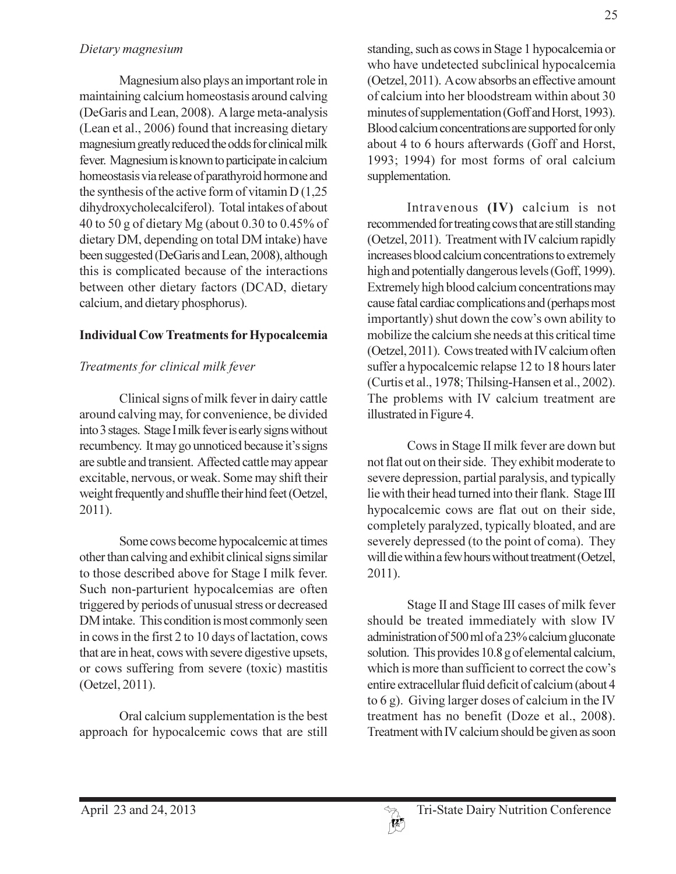#### Dietary magnesium

Magnesium also plays an important role in maintaining calcium homeostasis around calving (DeGaris and Lean, 2008). A large meta-analysis (Lean et al., 2006) found that increasing dietary magnesium greatly reduced the odds for clinical milk fever. Magnesium is known to participate in calcium homeostasis via release of parathyroid hormone and the synthesis of the active form of vitamin  $D(1,25)$ dihydroxycholecalciferol). Total intakes of about 40 to 50 g of dietary Mg (about 0.30 to 0.45% of dietary DM, depending on total DM intake) have been suggested (DeGaris and Lean, 2008), although this is complicated because of the interactions between other dietary factors (DCAD, dietary calcium, and dietary phosphorus).

### **Individual Cow Treatments for Hypocalcemia**

# Treatments for clinical milk fever

Clinical signs of milk fever in dairy cattle around calving may, for convenience, be divided into 3 stages. Stage I milk fever is early signs without recumbency. It may go unnoticed because it's signs are subtle and transient. Affected cattle may appear excitable, nervous, or weak. Some may shift their weight frequently and shuffle their hind feet (Oetzel,  $2011$ ).

Some cows become hypocalcemic at times other than calving and exhibit clinical signs similar to those described above for Stage I milk fever. Such non-parturient hypocalcemias are often triggered by periods of unusual stress or decreased DM intake. This condition is most commonly seen in cows in the first 2 to 10 days of lactation, cows that are in heat, cows with severe digestive upsets, or cows suffering from severe (toxic) mastitis (Oetzel, 2011).

Oral calcium supplementation is the best approach for hypocalcemic cows that are still

standing, such as cows in Stage 1 hypocalcemia or who have undetected subclinical hypocalcemia (Oetzel, 2011). A cow absorbs an effective amount of calcium into her bloodstream within about 30 minutes of supplementation (Goff and Horst, 1993). Blood calcium concentrations are supported for only about 4 to 6 hours afterwards (Goff and Horst, 1993; 1994) for most forms of oral calcium supplementation.

Intravenous (IV) calcium is not recommended for treating cows that are still standing (Oetzel, 2011). Treatment with IV calcium rapidly increases blood calcium concentrations to extremely high and potentially dangerous levels (Goff, 1999). Extremely high blood calcium concentrations may cause fatal cardiac complications and (perhaps most importantly) shut down the cow's own ability to mobilize the calcium she needs at this critical time (Oetzel, 2011). Cows treated with IV calcium often suffer a hypocalcemic relapse 12 to 18 hours later (Curtis et al., 1978; Thilsing-Hansen et al., 2002). The problems with IV calcium treatment are illustrated in Figure 4.

Cows in Stage II milk fever are down but not flat out on their side. They exhibit moderate to severe depression, partial paralysis, and typically lie with their head turned into their flank. Stage III hypocalcemic cows are flat out on their side, completely paralyzed, typically bloated, and are severely depressed (to the point of coma). They will die within a few hours without treatment (Oetzel,  $2011$ ).

Stage II and Stage III cases of milk fever should be treated immediately with slow IV administration of 500 ml of a 23% calcium gluconate solution. This provides 10.8 g of elemental calcium, which is more than sufficient to correct the cow's entire extracellular fluid deficit of calcium (about 4 to  $6 g$ ). Giving larger doses of calcium in the IV treatment has no benefit (Doze et al., 2008). Treatment with IV calcium should be given as soon

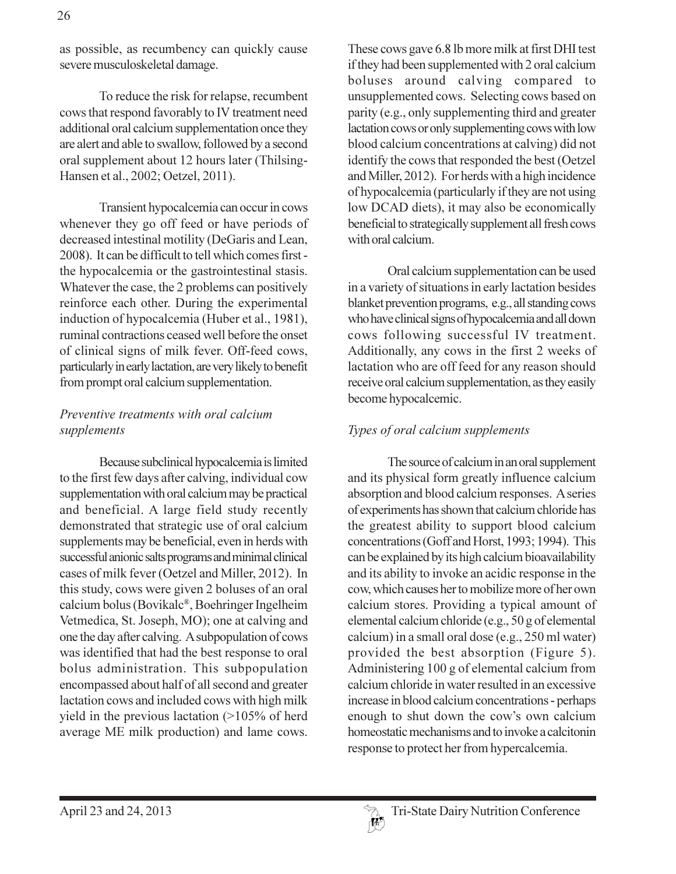as possible, as recumbency can quickly cause severe musculoskeletal damage.

To reduce the risk for relapse, recumbent cows that respond favorably to IV treatment need additional oral calcium supplementation once they are alert and able to swallow, followed by a second oral supplement about 12 hours later (Thilsing-Hansen et al., 2002; Oetzel, 2011).

Transient hypocalcemia can occur in cows whenever they go off feed or have periods of decreased intestinal motility (DeGaris and Lean, 2008). It can be difficult to tell which comes first the hypocalcemia or the gastrointestinal stasis. Whatever the case, the 2 problems can positively reinforce each other. During the experimental induction of hypocalcemia (Huber et al., 1981), ruminal contractions ceased well before the onset of clinical signs of milk fever. Off-feed cows, particularly in early lactation, are very likely to benefit from prompt oral calcium supplementation.

#### Preventive treatments with oral calcium supplements

Because subclinical hypocalcemia is limited to the first few days after calving, individual cow supplementation with oral calcium may be practical and beneficial. A large field study recently demonstrated that strategic use of oral calcium supplements may be beneficial, even in herds with successful anionic salts programs and minimal clinical cases of milk fever (Oetzel and Miller, 2012). In this study, cows were given 2 boluses of an oral calcium bolus (Bovikalc®, Boehringer Ingelheim Vetmedica, St. Joseph, MO); one at calving and one the day after calving. A subpopulation of cows was identified that had the best response to oral bolus administration. This subpopulation encompassed about half of all second and greater lactation cows and included cows with high milk yield in the previous lactation  $(>105\%$  of herd average ME milk production) and lame cows.

These cows gave 6.8 lb more milk at first DHI test if they had been supplemented with 2 oral calcium boluses around calving compared to unsupplemented cows. Selecting cows based on parity (e.g., only supplementing third and greater lactation cows or only supplementing cows with low blood calcium concentrations at calving) did not identify the cows that responded the best (Oetzel and Miller, 2012). For herds with a high incidence of hypocalcemia (particularly if they are not using low DCAD diets), it may also be economically beneficial to strategically supplement all fresh cows with oral calcium.

Oral calcium supplementation can be used in a variety of situations in early lactation besides blanket prevention programs, e.g., all standing cows who have clinical signs of hypocalcemia and all down cows following successful IV treatment. Additionally, any cows in the first 2 weeks of lactation who are off feed for any reason should receive oral calcium supplementation, as they easily become hypocalcemic.

#### Types of oral calcium supplements

The source of calcium in an oral supplement and its physical form greatly influence calcium absorption and blood calcium responses. A series of experiments has shown that calcium chloride has the greatest ability to support blood calcium concentrations (Goff and Horst, 1993; 1994). This can be explained by its high calcium bioavailability and its ability to invoke an acidic response in the cow, which causes her to mobilize more of her own calcium stores. Providing a typical amount of elemental calcium chloride (e.g., 50 g of elemental calcium) in a small oral dose (e.g., 250 ml water) provided the best absorption (Figure 5). Administering 100 g of elemental calcium from calcium chloride in water resulted in an excessive increase in blood calcium concentrations - perhaps enough to shut down the cow's own calcium homeostatic mechanisms and to invoke a calcitonin response to protect her from hypercalcemia.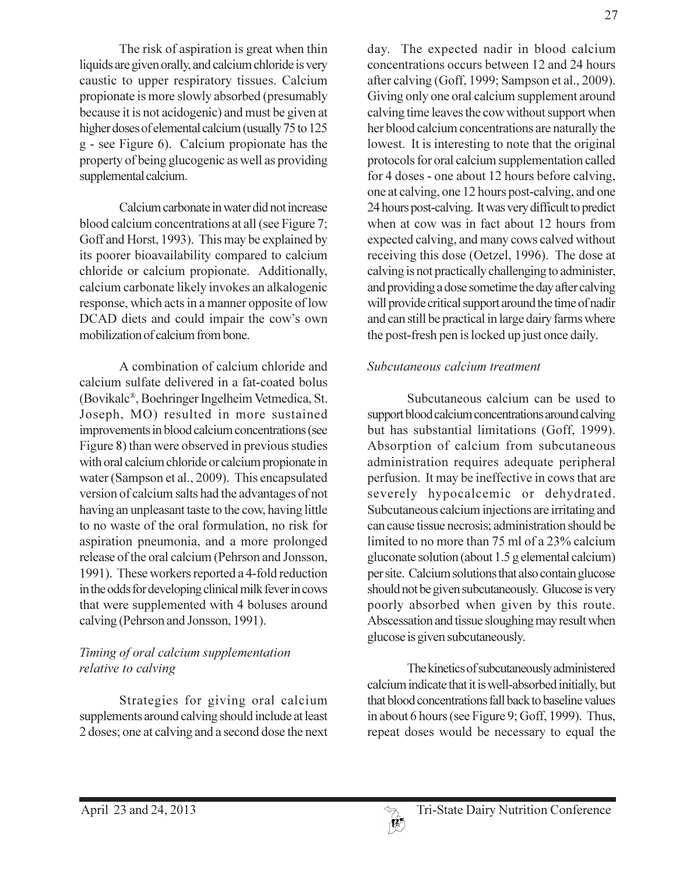The risk of aspiration is great when thin liquids are given orally, and calcium chloride is very caustic to upper respiratory tissues. Calcium propionate is more slowly absorbed (presumably because it is not acidogenic) and must be given at higher doses of elemental calcium (usually 75 to 125) g - see Figure 6). Calcium propionate has the property of being glucogenic as well as providing supplemental calcium.

Calcium carbonate in water did not increase blood calcium concentrations at all (see Figure 7; Goff and Horst, 1993). This may be explained by its poorer bioavailability compared to calcium chloride or calcium propionate. Additionally, calcium carbonate likely invokes an alkalogenic response, which acts in a manner opposite of low DCAD diets and could impair the cow's own mobilization of calcium from bone.

A combination of calcium chloride and calcium sulfate delivered in a fat-coated bolus (Bovikalc®, Boehringer Ingelheim Vetmedica, St. Joseph, MO) resulted in more sustained improvements in blood calcium concentrations (see Figure 8) than were observed in previous studies with oral calcium chloride or calcium propionate in water (Sampson et al., 2009). This encapsulated version of calcium salts had the advantages of not having an unpleasant taste to the cow, having little to no waste of the oral formulation, no risk for aspiration pneumonia, and a more prolonged release of the oral calcium (Pehrson and Jonsson, 1991). These workers reported a 4-fold reduction in the odds for developing clinical milk fever in cows that were supplemented with 4 boluses around calving (Pehrson and Jonsson, 1991).

### Timing of oral calcium supplementation relative to calving

Strategies for giving oral calcium supplements around calving should include at least 2 doses; one at calving and a second dose the next day. The expected nadir in blood calcium concentrations occurs between 12 and 24 hours after calving (Goff, 1999; Sampson et al., 2009). Giving only one oral calcium supplement around calving time leaves the cow without support when her blood calcium concentrations are naturally the lowest. It is interesting to note that the original protocols for oral calcium supplementation called for 4 doses - one about 12 hours before calving, one at calving, one 12 hours post-calving, and one 24 hours post-calving. It was very difficult to predict when at cow was in fact about 12 hours from expected calving, and many cows calved without receiving this dose (Oetzel, 1996). The dose at calving is not practically challenging to administer, and providing a dose sometime the day after calving will provide critical support around the time of nadir and can still be practical in large dairy farms where the post-fresh pen is locked up just once daily.

#### Subcutaneous calcium treatment

Subcutaneous calcium can be used to support blood calcium concentrations around calving but has substantial limitations (Goff, 1999). Absorption of calcium from subcutaneous administration requires adequate peripheral perfusion. It may be ineffective in cows that are severely hypocalcemic or dehydrated. Subcutaneous calcium injections are irritating and can cause tissue necrosis; administration should be limited to no more than 75 ml of a 23% calcium gluconate solution (about 1.5 g elemental calcium) per site. Calcium solutions that also contain glucose should not be given subcutaneously. Glucose is very poorly absorbed when given by this route. Abscessation and tissue sloughing may result when glucose is given subcutaneously.

The kinetics of subcutaneously administered calcium indicate that it is well-absorbed initially, but that blood concentrations fall back to baseline values in about 6 hours (see Figure 9; Goff, 1999). Thus, repeat doses would be necessary to equal the

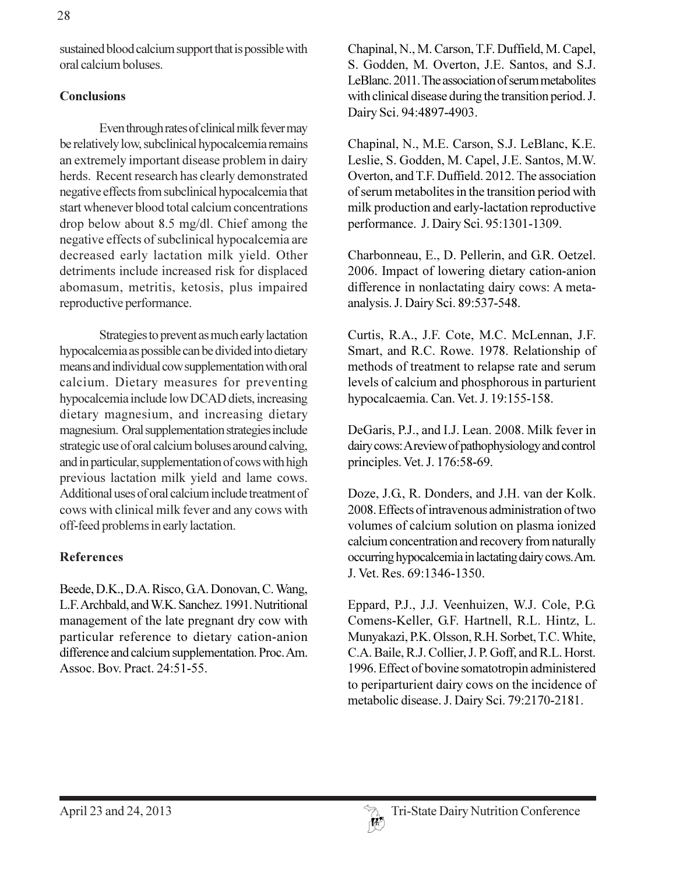sustained blood calcium support that is possible with oral calcium boluses.

### **Conclusions**

Even through rates of clinical milk fever may be relatively low, subclinical hypocalcemia remains an extremely important disease problem in dairy herds. Recent research has clearly demonstrated negative effects from subclinical hypocalcemia that start whenever blood total calcium concentrations drop below about 8.5 mg/dl. Chief among the negative effects of subclinical hypocalcemia are decreased early lactation milk yield. Other detriments include increased risk for displaced abomasum, metritis, ketosis, plus impaired reproductive performance.

Strategies to prevent as much early lactation hypocalcemia as possible can be divided into dietary means and individual cow supplementation with oral calcium. Dietary measures for preventing hypocalcemia include low DCAD diets, increasing dietary magnesium, and increasing dietary magnesium. Oral supplementation strategies include strategic use of oral calcium boluses around calving, and in particular, supplementation of cows with high previous lactation milk yield and lame cows. Additional uses of oral calcium include treatment of cows with clinical milk fever and any cows with off-feed problems in early lactation.

# **References**

Beede, D.K., D.A. Risco, G.A. Donovan, C. Wang, L.F. Archbald, and W.K. Sanchez. 1991. Nutritional management of the late pregnant dry cow with particular reference to dietary cation-anion difference and calcium supplementation. Proc. Am. Assoc. Bov. Pract. 24:51-55.

Chapinal, N., M. Carson, T.F. Duffield, M. Capel, S. Godden, M. Overton, J.E. Santos, and S.J. LeBlanc. 2011. The association of serum metabolites with clinical disease during the transition period. J. Dairy Sci. 94:4897-4903.

Chapinal, N., M.E. Carson, S.J. LeBlanc, K.E. Leslie, S. Godden, M. Capel, J.E. Santos, M.W. Overton, and T.F. Duffield. 2012. The association of serum metabolites in the transition period with milk production and early-lactation reproductive performance. J. Dairy Sci. 95:1301-1309.

Charbonneau, E., D. Pellerin, and G.R. Oetzel. 2006. Impact of lowering dietary cation-anion difference in nonlactating dairy cows: A metaanalysis. J. Dairy Sci. 89:537-548.

Curtis, R.A., J.F. Cote, M.C. McLennan, J.F. Smart, and R.C. Rowe. 1978. Relationship of methods of treatment to relapse rate and serum levels of calcium and phosphorous in parturient hypocalcaemia. Can. Vet. J. 19:155-158.

DeGaris, P.J., and I.J. Lean. 2008. Milk fever in dairy cows: A review of pathophysiology and control principles. Vet. J. 176:58-69.

Doze, J.G., R. Donders, and J.H. van der Kolk. 2008. Effects of intravenous administration of two volumes of calcium solution on plasma ionized calcium concentration and recovery from naturally occurring hypocalcemia in lactating dairy cows. Am. J. Vet. Res. 69:1346-1350.

Eppard, P.J., J.J. Veenhuizen, W.J. Cole, P.G. Comens-Keller, G.F. Hartnell, R.L. Hintz, L. Munyakazi, P.K. Olsson, R.H. Sorbet, T.C. White, C.A. Baile, R.J. Collier, J. P. Goff, and R.L. Horst. 1996. Effect of bovine somatotropin administered to periparturient dairy cows on the incidence of metabolic disease. J. Dairy Sci. 79:2170-2181.

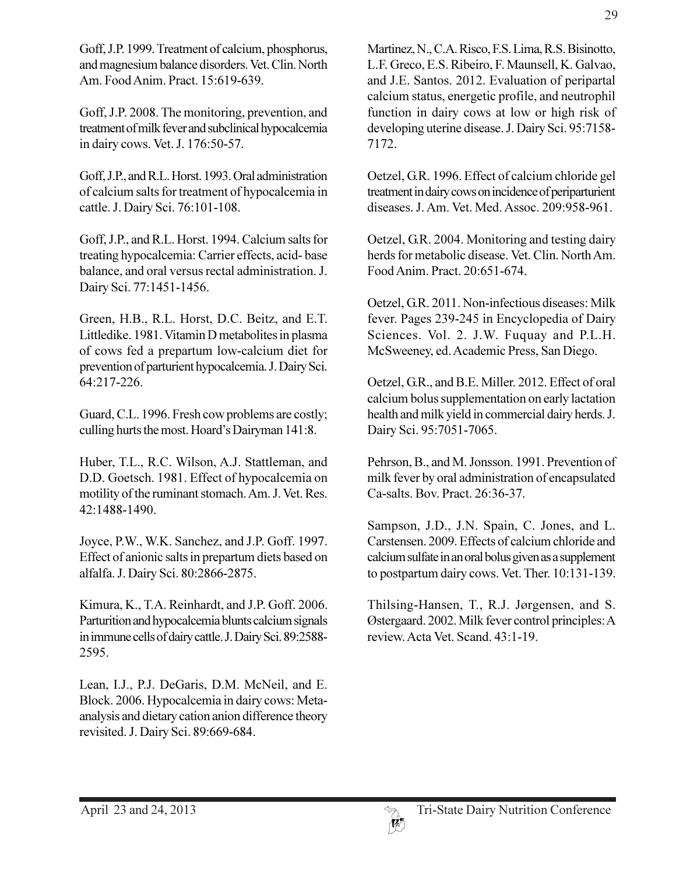Goff, J.P. 1999. Treatment of calcium, phosphorus, and magnesium balance disorders. Vet. Clin. North Am. Food Anim. Pract. 15:619-639.

Goff, J.P. 2008. The monitoring, prevention, and treatment of milk fever and subclinical hypocalcemia in dairy cows. Vet. J. 176:50-57.

Goff, J.P., and R.L. Horst. 1993. Oral administration of calcium salts for treatment of hypocalcemia in cattle. J. Dairy Sci. 76:101-108.

Goff, J.P., and R.L. Horst. 1994. Calcium salts for treating hypocalcemia: Carrier effects, acid-base balance, and oral versus rectal administration. J. Dairy Sci. 77:1451-1456.

Green, H.B., R.L. Horst, D.C. Beitz, and E.T. Littledike. 1981. Vitamin D metabolites in plasma of cows fed a prepartum low-calcium diet for prevention of parturient hypocalcemia. J. Dairy Sci. 64:217-226.

Guard, C.L. 1996. Fresh cow problems are costly; culling hurts the most. Hoard's Dairyman 141:8.

Huber, T.L., R.C. Wilson, A.J. Stattleman, and D.D. Goetsch. 1981. Effect of hypocalcemia on motility of the ruminant stomach. Am. J. Vet. Res. 42:1488-1490.

Joyce, P.W., W.K. Sanchez, and J.P. Goff. 1997. Effect of anionic salts in prepartum diets based on alfalfa. J. Dairy Sci. 80:2866-2875.

Kimura, K., T.A. Reinhardt, and J.P. Goff. 2006. Parturition and hypocalcemia blunts calcium signals in immune cells of dairy cattle. J. Dairy Sci. 89:2588-2595.

Lean, I.J., P.J. DeGaris, D.M. McNeil, and E. Block. 2006. Hypocalcemia in dairy cows: Metaanalysis and dietary cation anion difference theory revisited. J. Dairy Sci. 89:669-684.

29

Martinez, N., C.A. Risco, F.S. Lima, R.S. Bisinotto, L.F. Greco, E.S. Ribeiro, F. Maunsell, K. Galvao, and J.E. Santos. 2012. Evaluation of peripartal calcium status, energetic profile, and neutrophil function in dairy cows at low or high risk of developing uterine disease. J. Dairy Sci. 95:7158-7172.

Oetzel, G.R. 1996. Effect of calcium chloride gel treatment in dairy cows on incidence of periparturient diseases. J. Am. Vet. Med. Assoc. 209:958-961.

Oetzel, G.R. 2004. Monitoring and testing dairy herds for metabolic disease. Vet. Clin. North Am. Food Anim. Pract. 20:651-674.

Oetzel, G.R. 2011. Non-infectious diseases: Milk fever. Pages 239-245 in Encyclopedia of Dairy Sciences. Vol. 2. J.W. Fuquay and P.L.H. McSweeney, ed. Academic Press, San Diego.

Oetzel, G.R., and B.E. Miller. 2012. Effect of oral calcium bolus supplementation on early lactation health and milk yield in commercial dairy herds. J. Dairy Sci. 95:7051-7065.

Pehrson, B., and M. Jonsson. 1991. Prevention of milk fever by oral administration of encapsulated Ca-salts. Bov. Pract. 26:36-37.

Sampson, J.D., J.N. Spain, C. Jones, and L. Carstensen. 2009. Effects of calcium chloride and calcium sulfate in an oral bolus given as a supplement to postpartum dairy cows. Vet. Ther. 10:131-139.

Thilsing-Hansen, T., R.J. Jørgensen, and S. Østergaard. 2002. Milk fever control principles: A review. Acta Vet. Scand. 43:1-19.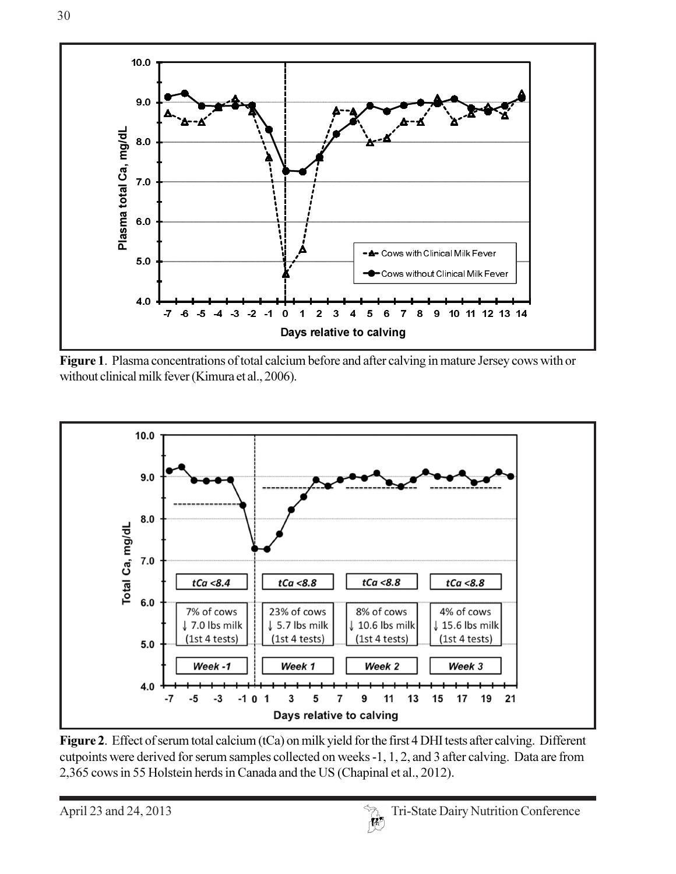

Figure 1. Plasma concentrations of total calcium before and after calving in mature Jersey cows with or without clinical milk fever (Kimura et al., 2006).



Figure 2. Effect of serum total calcium (tCa) on milk yield for the first 4 DHI tests after calving. Different cutpoints were derived for serum samples collected on weeks -1, 1, 2, and 3 after calving. Data are from 2,365 cows in 55 Holstein herds in Canada and the US (Chapinal et al., 2012).

April 23 and 24, 2013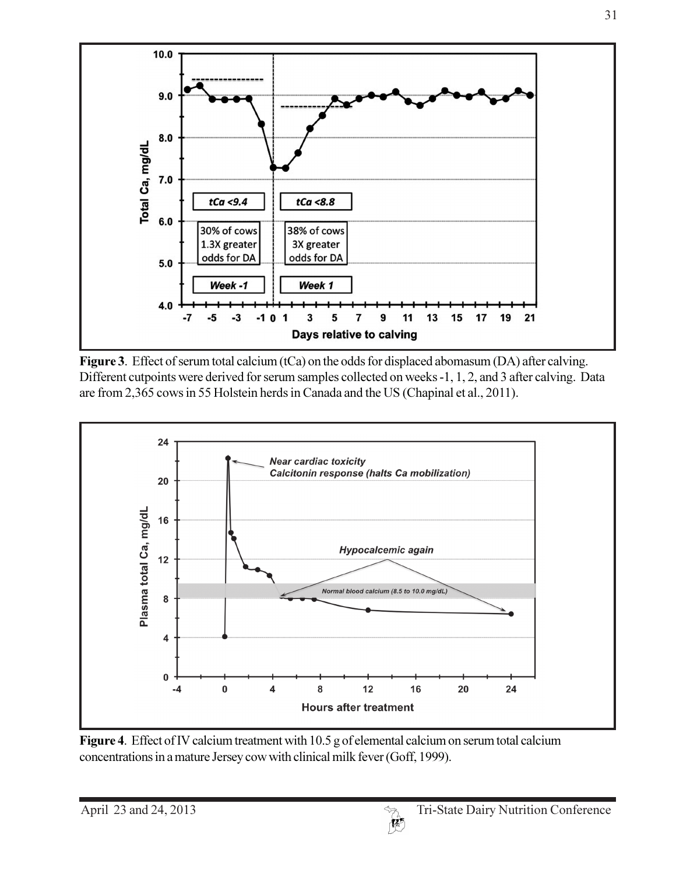

Figure 3. Effect of serum total calcium (tCa) on the odds for displaced abomasum (DA) after calving. Different cutpoints were derived for serum samples collected on weeks -1, 1, 2, and 3 after calving. Data are from 2,365 cows in 55 Holstein herds in Canada and the US (Chapinal et al., 2011).



Figure 4. Effect of IV calcium treatment with 10.5 g of elemental calcium on serum total calcium concentrations in a mature Jersey cow with clinical milk fever (Goff, 1999).

31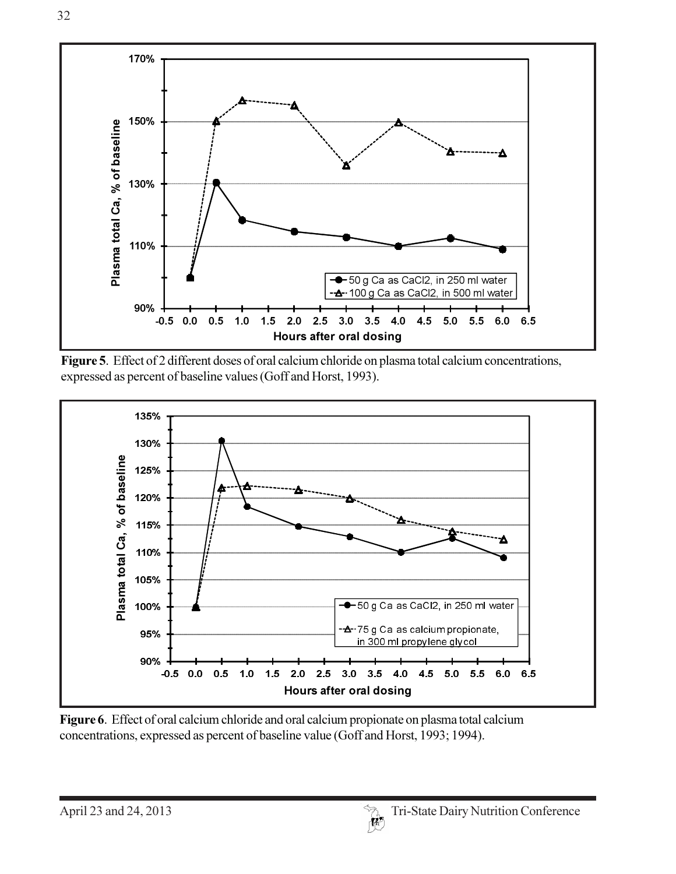

Figure 5. Effect of 2 different doses of oral calcium chloride on plasma total calcium concentrations, expressed as percent of baseline values (Goff and Horst, 1993).



Figure 6. Effect of oral calcium chloride and oral calcium propionate on plasma total calcium concentrations, expressed as percent of baseline value (Goff and Horst, 1993; 1994).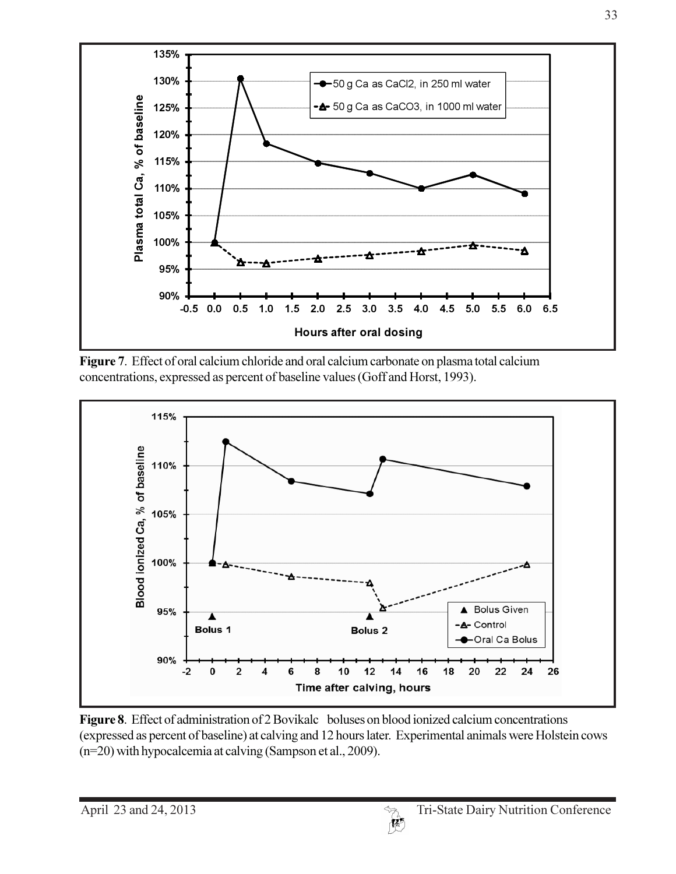

Figure 7. Effect of oral calcium chloride and oral calcium carbonate on plasma total calcium concentrations, expressed as percent of baseline values (Goff and Horst, 1993).



Figure 8. Effect of administration of 2 Bovikalc boluses on blood ionized calcium concentrations (expressed as percent of baseline) at calving and 12 hours later. Experimental animals were Holstein cows  $(n=20)$  with hypocalcemia at calving (Sampson et al., 2009).